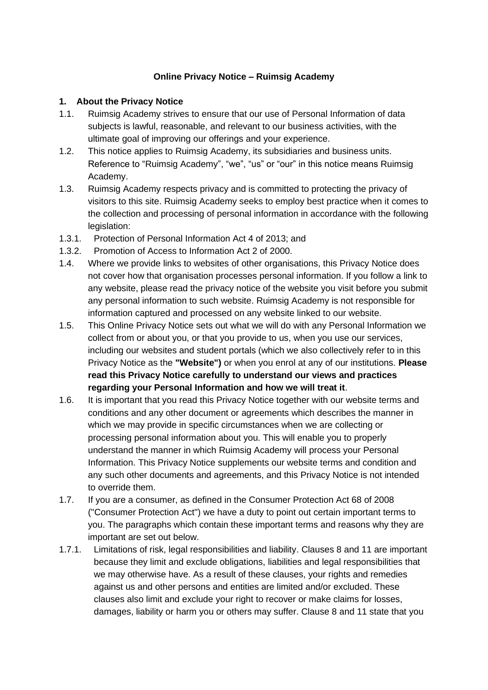#### **Online Privacy Notice – Ruimsig Academy**

#### **1. About the Privacy Notice**

- 1.1. Ruimsig Academy strives to ensure that our use of Personal Information of data subjects is lawful, reasonable, and relevant to our business activities, with the ultimate goal of improving our offerings and your experience.
- 1.2. This notice applies to Ruimsig Academy, its subsidiaries and business units. Reference to "Ruimsig Academy", "we", "us" or "our" in this notice means Ruimsig Academy.
- 1.3. Ruimsig Academy respects privacy and is committed to protecting the privacy of visitors to this site. Ruimsig Academy seeks to employ best practice when it comes to the collection and processing of personal information in accordance with the following legislation:
- 1.3.1. Protection of Personal Information Act 4 of 2013; and
- 1.3.2. Promotion of Access to Information Act 2 of 2000.
- 1.4. Where we provide links to websites of other organisations, this Privacy Notice does not cover how that organisation processes personal information. If you follow a link to any website, please read the privacy notice of the website you visit before you submit any personal information to such website. Ruimsig Academy is not responsible for information captured and processed on any website linked to our website.
- 1.5. This Online Privacy Notice sets out what we will do with any Personal Information we collect from or about you, or that you provide to us, when you use our services, including our websites and student portals (which we also collectively refer to in this Privacy Notice as the **"Website")** or when you enrol at any of our institutions. **Please read this Privacy Notice carefully to understand our views and practices regarding your Personal Information and how we will treat it**.
- 1.6. It is important that you read this Privacy Notice together with our website terms and conditions and any other document or agreements which describes the manner in which we may provide in specific circumstances when we are collecting or processing personal information about you. This will enable you to properly understand the manner in which Ruimsig Academy will process your Personal Information. This Privacy Notice supplements our website terms and condition and any such other documents and agreements, and this Privacy Notice is not intended to override them.
- 1.7. If you are a consumer, as defined in the Consumer Protection Act 68 of 2008 ("Consumer Protection Act") we have a duty to point out certain important terms to you. The paragraphs which contain these important terms and reasons why they are important are set out below.
- 1.7.1. Limitations of risk, legal responsibilities and liability. Clauses 8 and 11 are important because they limit and exclude obligations, liabilities and legal responsibilities that we may otherwise have. As a result of these clauses, your rights and remedies against us and other persons and entities are limited and/or excluded. These clauses also limit and exclude your right to recover or make claims for losses, damages, liability or harm you or others may suffer. Clause 8 and 11 state that you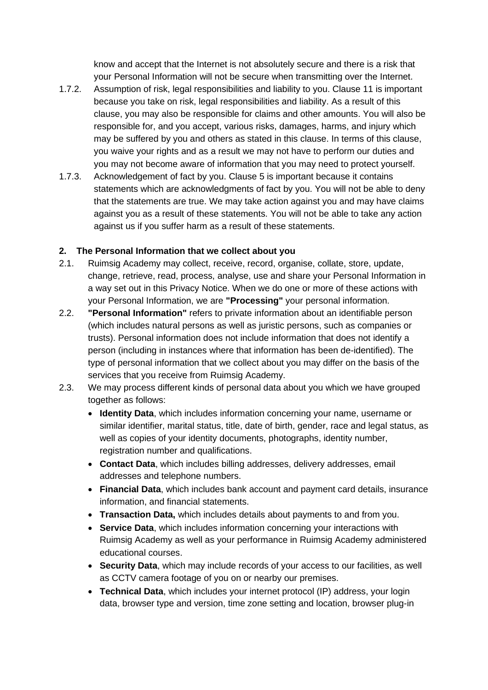know and accept that the Internet is not absolutely secure and there is a risk that your Personal Information will not be secure when transmitting over the Internet.

- 1.7.2. Assumption of risk, legal responsibilities and liability to you. Clause 11 is important because you take on risk, legal responsibilities and liability. As a result of this clause, you may also be responsible for claims and other amounts. You will also be responsible for, and you accept, various risks, damages, harms, and injury which may be suffered by you and others as stated in this clause. In terms of this clause, you waive your rights and as a result we may not have to perform our duties and you may not become aware of information that you may need to protect yourself.
- 1.7.3. Acknowledgement of fact by you. Clause 5 is important because it contains statements which are acknowledgments of fact by you. You will not be able to deny that the statements are true. We may take action against you and may have claims against you as a result of these statements. You will not be able to take any action against us if you suffer harm as a result of these statements.

#### **2. The Personal Information that we collect about you**

- 2.1. Ruimsig Academy may collect, receive, record, organise, collate, store, update, change, retrieve, read, process, analyse, use and share your Personal Information in a way set out in this Privacy Notice. When we do one or more of these actions with your Personal Information, we are **"Processing"** your personal information.
- 2.2. **"Personal Information"** refers to private information about an identifiable person (which includes natural persons as well as juristic persons, such as companies or trusts). Personal information does not include information that does not identify a person (including in instances where that information has been de-identified). The type of personal information that we collect about you may differ on the basis of the services that you receive from Ruimsig Academy.
- 2.3. We may process different kinds of personal data about you which we have grouped together as follows:
	- **Identity Data**, which includes information concerning your name, username or similar identifier, marital status, title, date of birth, gender, race and legal status, as well as copies of your identity documents, photographs, identity number, registration number and qualifications.
	- **Contact Data**, which includes billing addresses, delivery addresses, email addresses and telephone numbers.
	- **Financial Data**, which includes bank account and payment card details, insurance information, and financial statements.
	- **Transaction Data,** which includes details about payments to and from you.
	- **Service Data**, which includes information concerning your interactions with Ruimsig Academy as well as your performance in Ruimsig Academy administered educational courses.
	- **Security Data**, which may include records of your access to our facilities, as well as CCTV camera footage of you on or nearby our premises.
	- **Technical Data**, which includes your internet protocol (IP) address, your login data, browser type and version, time zone setting and location, browser plug-in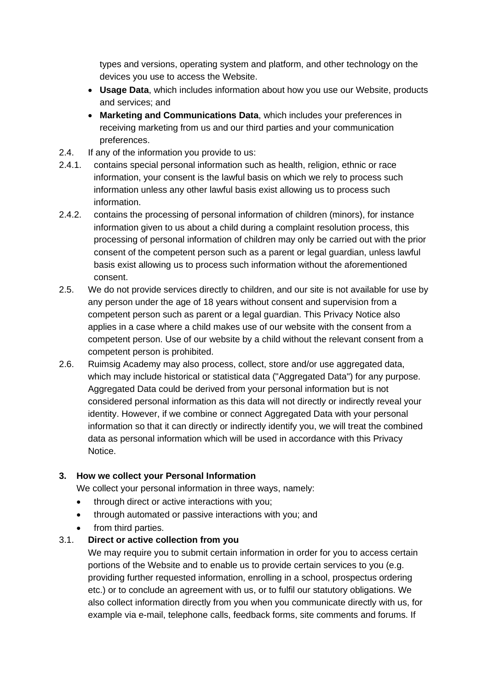types and versions, operating system and platform, and other technology on the devices you use to access the Website.

- **Usage Data**, which includes information about how you use our Website, products and services; and
- **Marketing and Communications Data**, which includes your preferences in receiving marketing from us and our third parties and your communication preferences.
- 2.4. If any of the information you provide to us:
- 2.4.1. contains special personal information such as health, religion, ethnic or race information, your consent is the lawful basis on which we rely to process such information unless any other lawful basis exist allowing us to process such information.
- 2.4.2. contains the processing of personal information of children (minors), for instance information given to us about a child during a complaint resolution process, this processing of personal information of children may only be carried out with the prior consent of the competent person such as a parent or legal guardian, unless lawful basis exist allowing us to process such information without the aforementioned consent.
- 2.5. We do not provide services directly to children, and our site is not available for use by any person under the age of 18 years without consent and supervision from a competent person such as parent or a legal guardian. This Privacy Notice also applies in a case where a child makes use of our website with the consent from a competent person. Use of our website by a child without the relevant consent from a competent person is prohibited.
- 2.6. Ruimsig Academy may also process, collect, store and/or use aggregated data, which may include historical or statistical data ("Aggregated Data") for any purpose. Aggregated Data could be derived from your personal information but is not considered personal information as this data will not directly or indirectly reveal your identity. However, if we combine or connect Aggregated Data with your personal information so that it can directly or indirectly identify you, we will treat the combined data as personal information which will be used in accordance with this Privacy Notice.

## **3. How we collect your Personal Information**

We collect your personal information in three ways, namely:

- through direct or active interactions with you;
- through automated or passive interactions with you; and
- from third parties.

## 3.1. **Direct or active collection from you**

We may require you to submit certain information in order for you to access certain portions of the Website and to enable us to provide certain services to you (e.g. providing further requested information, enrolling in a school, prospectus ordering etc.) or to conclude an agreement with us, or to fulfil our statutory obligations. We also collect information directly from you when you communicate directly with us, for example via e-mail, telephone calls, feedback forms, site comments and forums. If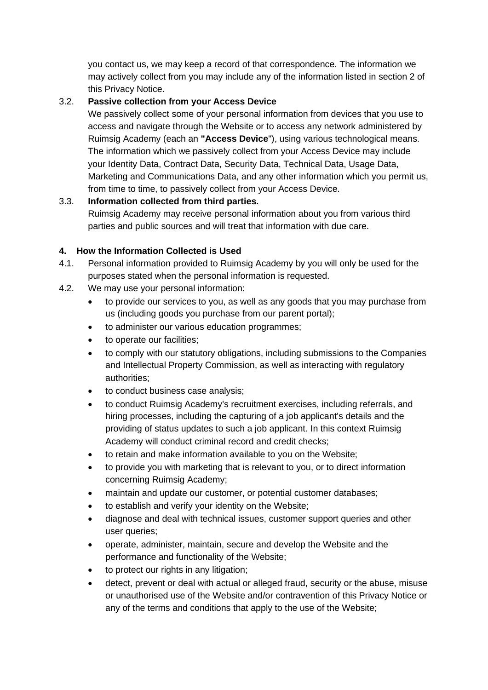you contact us, we may keep a record of that correspondence. The information we may actively collect from you may include any of the information listed in section 2 of this Privacy Notice.

# 3.2. **Passive collection from your Access Device**

We passively collect some of your personal information from devices that you use to access and navigate through the Website or to access any network administered by Ruimsig Academy (each an **"Access Device**"), using various technological means. The information which we passively collect from your Access Device may include your Identity Data, Contract Data, Security Data, Technical Data, Usage Data, Marketing and Communications Data, and any other information which you permit us, from time to time, to passively collect from your Access Device.

# 3.3. **Information collected from third parties.**

Ruimsig Academy may receive personal information about you from various third parties and public sources and will treat that information with due care.

# **4. How the Information Collected is Used**

- 4.1. Personal information provided to Ruimsig Academy by you will only be used for the purposes stated when the personal information is requested.
- 4.2. We may use your personal information:
	- to provide our services to you, as well as any goods that you may purchase from us (including goods you purchase from our parent portal);
	- to administer our various education programmes;
	- to operate our facilities:
	- to comply with our statutory obligations, including submissions to the Companies and Intellectual Property Commission, as well as interacting with regulatory authorities;
	- to conduct business case analysis:
	- to conduct Ruimsig Academy's recruitment exercises, including referrals, and hiring processes, including the capturing of a job applicant's details and the providing of status updates to such a job applicant. In this context Ruimsig Academy will conduct criminal record and credit checks;
	- to retain and make information available to you on the Website;
	- to provide you with marketing that is relevant to you, or to direct information concerning Ruimsig Academy;
	- maintain and update our customer, or potential customer databases;
	- to establish and verify your identity on the Website;
	- diagnose and deal with technical issues, customer support queries and other user queries;
	- operate, administer, maintain, secure and develop the Website and the performance and functionality of the Website;
	- to protect our rights in any litigation;
	- detect, prevent or deal with actual or alleged fraud, security or the abuse, misuse or unauthorised use of the Website and/or contravention of this Privacy Notice or any of the terms and conditions that apply to the use of the Website;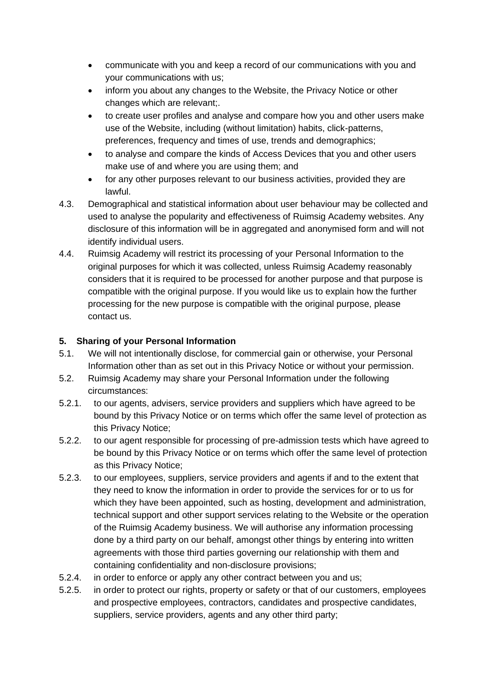- communicate with you and keep a record of our communications with you and your communications with us;
- inform you about any changes to the Website, the Privacy Notice or other changes which are relevant;.
- to create user profiles and analyse and compare how you and other users make use of the Website, including (without limitation) habits, click-patterns, preferences, frequency and times of use, trends and demographics;
- to analyse and compare the kinds of Access Devices that you and other users make use of and where you are using them; and
- for any other purposes relevant to our business activities, provided they are lawful.
- 4.3. Demographical and statistical information about user behaviour may be collected and used to analyse the popularity and effectiveness of Ruimsig Academy websites. Any disclosure of this information will be in aggregated and anonymised form and will not identify individual users.
- 4.4. Ruimsig Academy will restrict its processing of your Personal Information to the original purposes for which it was collected, unless Ruimsig Academy reasonably considers that it is required to be processed for another purpose and that purpose is compatible with the original purpose. If you would like us to explain how the further processing for the new purpose is compatible with the original purpose, please contact us.

# **5. Sharing of your Personal Information**

- 5.1. We will not intentionally disclose, for commercial gain or otherwise, your Personal Information other than as set out in this Privacy Notice or without your permission.
- 5.2. Ruimsig Academy may share your Personal Information under the following circumstances:
- 5.2.1. to our agents, advisers, service providers and suppliers which have agreed to be bound by this Privacy Notice or on terms which offer the same level of protection as this Privacy Notice;
- 5.2.2. to our agent responsible for processing of pre-admission tests which have agreed to be bound by this Privacy Notice or on terms which offer the same level of protection as this Privacy Notice;
- 5.2.3. to our employees, suppliers, service providers and agents if and to the extent that they need to know the information in order to provide the services for or to us for which they have been appointed, such as hosting, development and administration, technical support and other support services relating to the Website or the operation of the Ruimsig Academy business. We will authorise any information processing done by a third party on our behalf, amongst other things by entering into written agreements with those third parties governing our relationship with them and containing confidentiality and non-disclosure provisions;
- 5.2.4. in order to enforce or apply any other contract between you and us;
- 5.2.5. in order to protect our rights, property or safety or that of our customers, employees and prospective employees, contractors, candidates and prospective candidates, suppliers, service providers, agents and any other third party;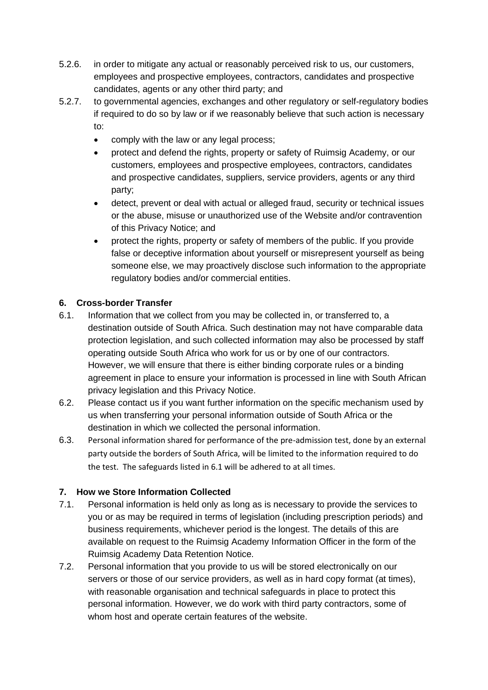- 5.2.6. in order to mitigate any actual or reasonably perceived risk to us, our customers, employees and prospective employees, contractors, candidates and prospective candidates, agents or any other third party; and
- 5.2.7. to governmental agencies, exchanges and other regulatory or self-regulatory bodies if required to do so by law or if we reasonably believe that such action is necessary to:
	- comply with the law or any legal process:
	- protect and defend the rights, property or safety of Ruimsig Academy, or our customers, employees and prospective employees, contractors, candidates and prospective candidates, suppliers, service providers, agents or any third party;
	- detect, prevent or deal with actual or alleged fraud, security or technical issues or the abuse, misuse or unauthorized use of the Website and/or contravention of this Privacy Notice; and
	- protect the rights, property or safety of members of the public. If you provide false or deceptive information about yourself or misrepresent yourself as being someone else, we may proactively disclose such information to the appropriate regulatory bodies and/or commercial entities.

## **6. Cross-border Transfer**

- 6.1. Information that we collect from you may be collected in, or transferred to, a destination outside of South Africa. Such destination may not have comparable data protection legislation, and such collected information may also be processed by staff operating outside South Africa who work for us or by one of our contractors. However, we will ensure that there is either binding corporate rules or a binding agreement in place to ensure your information is processed in line with South African privacy legislation and this Privacy Notice.
- 6.2. Please contact us if you want further information on the specific mechanism used by us when transferring your personal information outside of South Africa or the destination in which we collected the personal information.
- 6.3. Personal information shared for performance of the pre-admission test, done by an external party outside the borders of South Africa, will be limited to the information required to do the test. The safeguards listed in 6.1 will be adhered to at all times.

# **7. How we Store Information Collected**

- 7.1. Personal information is held only as long as is necessary to provide the services to you or as may be required in terms of legislation (including prescription periods) and business requirements, whichever period is the longest. The details of this are available on request to the Ruimsig Academy Information Officer in the form of the Ruimsig Academy Data Retention Notice.
- 7.2. Personal information that you provide to us will be stored electronically on our servers or those of our service providers, as well as in hard copy format (at times), with reasonable organisation and technical safeguards in place to protect this personal information. However, we do work with third party contractors, some of whom host and operate certain features of the website.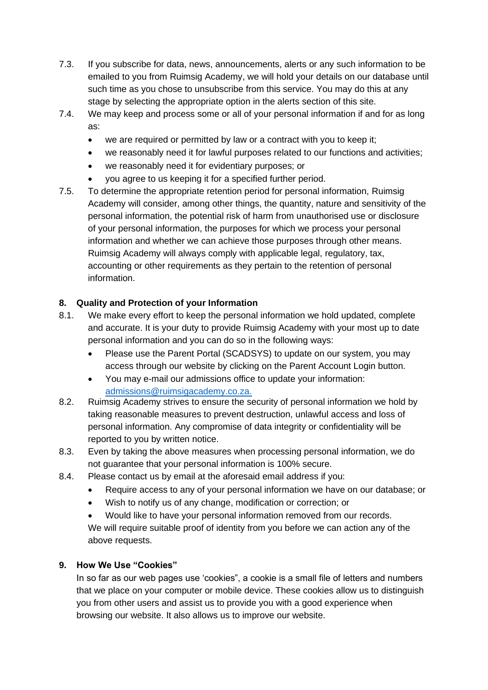- 7.3. If you subscribe for data, news, announcements, alerts or any such information to be emailed to you from Ruimsig Academy, we will hold your details on our database until such time as you chose to unsubscribe from this service. You may do this at any stage by selecting the appropriate option in the alerts section of this site.
- 7.4. We may keep and process some or all of your personal information if and for as long as:
	- we are required or permitted by law or a contract with you to keep it:
	- we reasonably need it for lawful purposes related to our functions and activities;
	- we reasonably need it for evidentiary purposes; or
	- you agree to us keeping it for a specified further period.
- 7.5. To determine the appropriate retention period for personal information, Ruimsig Academy will consider, among other things, the quantity, nature and sensitivity of the personal information, the potential risk of harm from unauthorised use or disclosure of your personal information, the purposes for which we process your personal information and whether we can achieve those purposes through other means. Ruimsig Academy will always comply with applicable legal, regulatory, tax, accounting or other requirements as they pertain to the retention of personal information.

## **8. Quality and Protection of your Information**

- 8.1. We make every effort to keep the personal information we hold updated, complete and accurate. It is your duty to provide Ruimsig Academy with your most up to date personal information and you can do so in the following ways:
	- Please use the Parent Portal (SCADSYS) to update on our system, you may access through our website by clicking on the Parent Account Login button.
	- You may e-mail our admissions office to update your information: admissions@ruimsigacademy.co.za
- 8.2. Ruimsig Academy strives to ensure the security of personal information we hold by taking reasonable measures to prevent destruction, unlawful access and loss of personal information. Any compromise of data integrity or confidentiality will be reported to you by written notice.
- 8.3. Even by taking the above measures when processing personal information, we do not guarantee that your personal information is 100% secure.
- 8.4. Please contact us by email at the aforesaid email address if you:
	- Require access to any of your personal information we have on our database; or
	- Wish to notify us of any change, modification or correction; or
	- Would like to have your personal information removed from our records.

We will require suitable proof of identity from you before we can action any of the above requests.

## **9. How We Use "Cookies"**

In so far as our web pages use 'cookies", a cookie is a small file of letters and numbers that we place on your computer or mobile device. These cookies allow us to distinguish you from other users and assist us to provide you with a good experience when browsing our website. It also allows us to improve our website.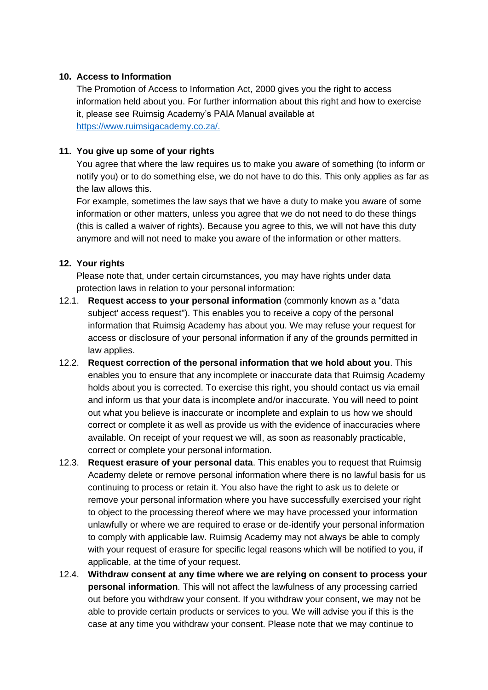#### **10. Access to Information**

The Promotion of Access to Information Act, 2000 gives you the right to access information held about you. For further information about this right and how to exercise it, please see Ruimsig Academy's PAIA Manual available at [https://www.ruimsigacademy.co.za/.](https://www.ruimsigacademy.co.za/)

## **11. You give up some of your rights**

You agree that where the law requires us to make you aware of something (to inform or notify you) or to do something else, we do not have to do this. This only applies as far as the law allows this.

For example, sometimes the law says that we have a duty to make you aware of some information or other matters, unless you agree that we do not need to do these things (this is called a waiver of rights). Because you agree to this, we will not have this duty anymore and will not need to make you aware of the information or other matters.

## **12. Your rights**

Please note that, under certain circumstances, you may have rights under data protection laws in relation to your personal information:

- 12.1. **Request access to your personal information** (commonly known as a "data subject' access request"). This enables you to receive a copy of the personal information that Ruimsig Academy has about you. We may refuse your request for access or disclosure of your personal information if any of the grounds permitted in law applies.
- 12.2. **Request correction of the personal information that we hold about you**. This enables you to ensure that any incomplete or inaccurate data that Ruimsig Academy holds about you is corrected. To exercise this right, you should contact us via email and inform us that your data is incomplete and/or inaccurate. You will need to point out what you believe is inaccurate or incomplete and explain to us how we should correct or complete it as well as provide us with the evidence of inaccuracies where available. On receipt of your request we will, as soon as reasonably practicable, correct or complete your personal information.
- 12.3. **Request erasure of your personal data**. This enables you to request that Ruimsig Academy delete or remove personal information where there is no lawful basis for us continuing to process or retain it. You also have the right to ask us to delete or remove your personal information where you have successfully exercised your right to object to the processing thereof where we may have processed your information unlawfully or where we are required to erase or de-identify your personal information to comply with applicable law. Ruimsig Academy may not always be able to comply with your request of erasure for specific legal reasons which will be notified to you, if applicable, at the time of your request.
- 12.4. **Withdraw consent at any time where we are relying on consent to process your personal information**. This will not affect the lawfulness of any processing carried out before you withdraw your consent. If you withdraw your consent, we may not be able to provide certain products or services to you. We will advise you if this is the case at any time you withdraw your consent. Please note that we may continue to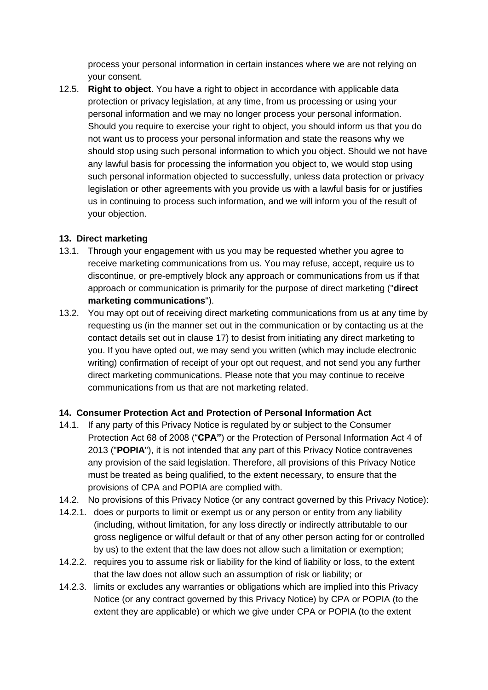process your personal information in certain instances where we are not relying on your consent.

12.5. **Right to object**. You have a right to object in accordance with applicable data protection or privacy legislation, at any time, from us processing or using your personal information and we may no longer process your personal information. Should you require to exercise your right to object, you should inform us that you do not want us to process your personal information and state the reasons why we should stop using such personal information to which you object. Should we not have any lawful basis for processing the information you object to, we would stop using such personal information objected to successfully, unless data protection or privacy legislation or other agreements with you provide us with a lawful basis for or justifies us in continuing to process such information, and we will inform you of the result of your objection.

## **13. Direct marketing**

- 13.1. Through your engagement with us you may be requested whether you agree to receive marketing communications from us. You may refuse, accept, require us to discontinue, or pre-emptively block any approach or communications from us if that approach or communication is primarily for the purpose of direct marketing ("**direct marketing communications**").
- 13.2. You may opt out of receiving direct marketing communications from us at any time by requesting us (in the manner set out in the communication or by contacting us at the contact details set out in clause 17) to desist from initiating any direct marketing to you. If you have opted out, we may send you written (which may include electronic writing) confirmation of receipt of your opt out request, and not send you any further direct marketing communications. Please note that you may continue to receive communications from us that are not marketing related.

## **14. Consumer Protection Act and Protection of Personal Information Act**

- 14.1. If any party of this Privacy Notice is regulated by or subject to the Consumer Protection Act 68 of 2008 ("**CPA"**) or the Protection of Personal Information Act 4 of 2013 ("**POPIA**"), it is not intended that any part of this Privacy Notice contravenes any provision of the said legislation. Therefore, all provisions of this Privacy Notice must be treated as being qualified, to the extent necessary, to ensure that the provisions of CPA and POPIA are complied with.
- 14.2. No provisions of this Privacy Notice (or any contract governed by this Privacy Notice):
- 14.2.1. does or purports to limit or exempt us or any person or entity from any liability (including, without limitation, for any loss directly or indirectly attributable to our gross negligence or wilful default or that of any other person acting for or controlled by us) to the extent that the law does not allow such a limitation or exemption;
- 14.2.2. requires you to assume risk or liability for the kind of liability or loss, to the extent that the law does not allow such an assumption of risk or liability; or
- 14.2.3. limits or excludes any warranties or obligations which are implied into this Privacy Notice (or any contract governed by this Privacy Notice) by CPA or POPIA (to the extent they are applicable) or which we give under CPA or POPIA (to the extent